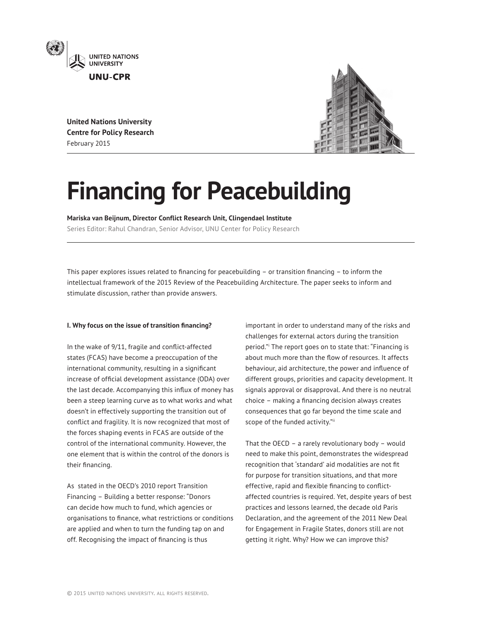

**United Nations University Centre for Policy Research** February 2015



# **Financing for Peacebuilding**

**Mariska van Beijnum, Director Conflict Research Unit, Clingendael Institute**

Series Editor: Rahul Chandran, Senior Advisor, UNU Center for Policy Research

This paper explores issues related to financing for peacebuilding  $-$  or transition financing  $-$  to inform the intellectual framework of the 2015 Review of the Peacebuilding Architecture. The paper seeks to inform and stimulate discussion, rather than provide answers.

## **I. Why focus on the issue of transition financing?**

In the wake of 9/11, fragile and conflict-affected states (FCAS) have become a preoccupation of the international community, resulting in a significant increase of official development assistance (ODA) over the last decade. Accompanying this influx of money has been a steep learning curve as to what works and what doesn't in effectively supporting the transition out of conflict and fragility. It is now recognized that most of the forces shaping events in FCAS are outside of the control of the international community. However, the one element that is within the control of the donors is their financing.

As stated in the OECD's 2010 report Transition Financing – Building a better response: "Donors can decide how much to fund, which agencies or organisations to finance, what restrictions or conditions are applied and when to turn the funding tap on and off. Recognising the impact of financing is thus

important in order to understand many of the risks and challenges for external actors during the transition period."i The report goes on to state that: "Financing is about much more than the flow of resources. It affects behaviour, aid architecture, the power and influence of different groups, priorities and capacity development. It signals approval or disapproval. And there is no neutral  $choice - making a financing decision always creates$ consequences that go far beyond the time scale and scope of the funded activity."ii

That the OECD – a rarely revolutionary body – would need to make this point, demonstrates the widespread recognition that 'standard' aid modalities are not fit for purpose for transition situations, and that more effective, rapid and flexible financing to conflictaffected countries is required. Yet, despite years of best practices and lessons learned, the decade old Paris Declaration, and the agreement of the 2011 New Deal for Engagement in Fragile States, donors still are not getting it right. Why? How we can improve this?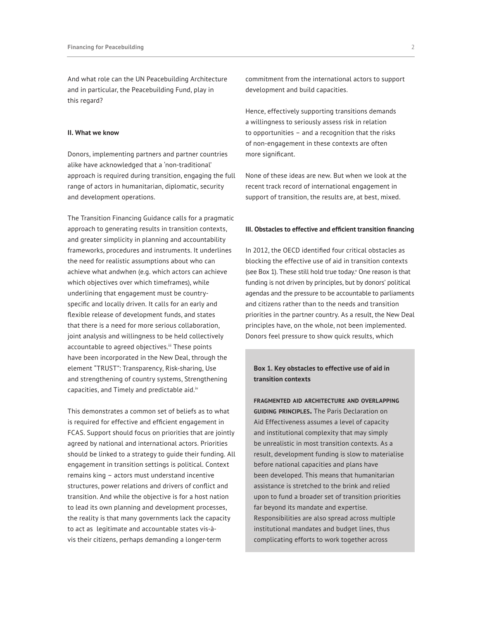And what role can the UN Peacebuilding Architecture and in particular, the Peacebuilding Fund, play in this regard?

#### **II. What we know**

Donors, implementing partners and partner countries alike have acknowledged that a 'non-traditional' approach is required during transition, engaging the full range of actors in humanitarian, diplomatic, security and development operations.

The Transition Financing Guidance calls for a pragmatic approach to generating results in transition contexts, and greater simplicity in planning and accountability frameworks, procedures and instruments. It underlines the need for realistic assumptions about who can achieve what andwhen (e.g. which actors can achieve which objectives over which timeframes), while underlining that engagement must be countryspecific and locally driven. It calls for an early and flexible release of development funds, and states that there is a need for more serious collaboration, joint analysis and willingness to be held collectively accountable to agreed objectives.<sup>iii</sup> These points have been incorporated in the New Deal, through the element "TRUST": Transparency, Risk-sharing, Use and strengthening of country systems, Strengthening capacities, and Timely and predictable aid.<sup>iv</sup>

This demonstrates a common set of beliefs as to what is required for effective and efficient engagement in FCAS. Support should focus on priorities that are jointly agreed by national and international actors. Priorities should be linked to a strategy to guide their funding. All engagement in transition settings is political. Context remains king – actors must understand incentive structures, power relations and drivers of conflict and transition. And while the objective is for a host nation to lead its own planning and development processes, the reality is that many governments lack the capacity to act as legitimate and accountable states vis-àvis their citizens, perhaps demanding a longer-term

commitment from the international actors to support development and build capacities.

Hence, effectively supporting transitions demands a willingness to seriously assess risk in relation to opportunities – and a recognition that the risks of non-engagement in these contexts are often more significant.

None of these ideas are new. But when we look at the recent track record of international engagement in support of transition, the results are, at best, mixed.

### **III. Obstacles to effective and efficient transition financing**

In 2012, the OECD identified four critical obstacles as blocking the effective use of aid in transition contexts (see Box 1). These still hold true today. One reason is that funding is not driven by principles, but by donors' political agendas and the pressure to be accountable to parliaments and citizens rather than to the needs and transition priorities in the partner country. As a result, the New Deal principles have, on the whole, not been implemented. Donors feel pressure to show quick results, which

# **Box 1. Key obstacles to effective use of aid in transition contexts**

**fragmented aid architecture and overlapping guiding principles.** The Paris Declaration on Aid Effectiveness assumes a level of capacity and institutional complexity that may simply be unrealistic in most transition contexts. As a result, development funding is slow to materialise before national capacities and plans have been developed. This means that humanitarian assistance is stretched to the brink and relied upon to fund a broader set of transition priorities far beyond its mandate and expertise. Responsibilities are also spread across multiple institutional mandates and budget lines, thus complicating efforts to work together across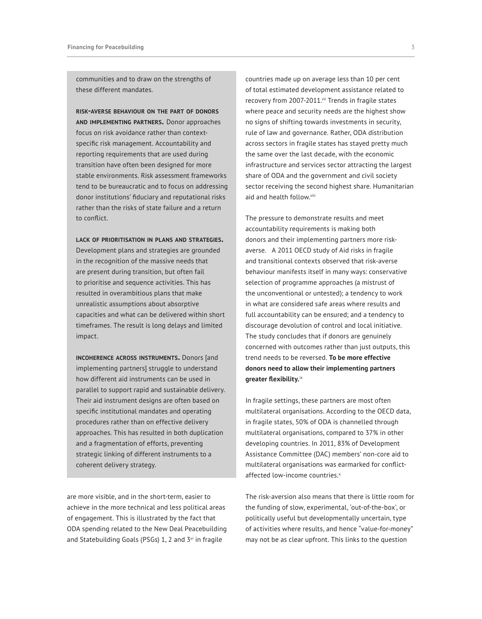communities and to draw on the strengths of these different mandates.

**risk-averse behaviour on the part of donors and implementing partners.** Donor approaches focus on risk avoidance rather than contextspecific risk management. Accountability and reporting requirements that are used during transition have often been designed for more stable environments. Risk assessment frameworks tend to be bureaucratic and to focus on addressing donor institutions' fiduciary and reputational risks rather than the risks of state failure and a return to conflict.

**lack of prioritisation in plans and strategies.**  Development plans and strategies are grounded in the recognition of the massive needs that are present during transition, but often fail to prioritise and sequence activities. This has resulted in overambitious plans that make unrealistic assumptions about absorptive capacities and what can be delivered within short timeframes. The result is long delays and limited impact.

**incoherence across instruments.** Donors [and implementing partners] struggle to understand how different aid instruments can be used in parallel to support rapid and sustainable delivery. Their aid instrument designs are often based on specific institutional mandates and operating procedures rather than on effective delivery approaches. This has resulted in both duplication and a fragmentation of efforts, preventing strategic linking of different instruments to a coherent delivery strategy.

are more visible, and in the short-term, easier to achieve in the more technical and less political areas of engagement. This is illustrated by the fact that ODA spending related to the New Deal Peacebuilding and Statebuilding Goals (PSGs) 1, 2 and 3vi in fragile

countries made up on average less than 10 per cent of total estimated development assistance related to recovery from 2007-2011.<sup>vii</sup> Trends in fragile states where peace and security needs are the highest show no signs of shifting towards investments in security, rule of law and governance. Rather, ODA distribution across sectors in fragile states has stayed pretty much the same over the last decade, with the economic infrastructure and services sector attracting the largest share of ODA and the government and civil society sector receiving the second highest share. Humanitarian aid and health follow.viii

The pressure to demonstrate results and meet accountability requirements is making both donors and their implementing partners more riskaverse. A 2011 OECD study of Aid risks in fragile and transitional contexts observed that risk-averse behaviour manifests itself in many ways: conservative selection of programme approaches (a mistrust of the unconventional or untested); a tendency to work in what are considered safe areas where results and full accountability can be ensured; and a tendency to discourage devolution of control and local initiative. The study concludes that if donors are genuinely concerned with outcomes rather than just outputs, this trend needs to be reversed. **To be more effective donors need to allow their implementing partners greater flexibility.**ix

In fragile settings, these partners are most often multilateral organisations. According to the OECD data, in fragile states, 50% of ODA is channelled through multilateral organisations, compared to 37% in other developing countries. In 2011, 83% of Development Assistance Committee (DAC) members' non-core aid to multilateral organisations was earmarked for conflictaffected low-income countries.<sup>x</sup>

The risk-aversion also means that there is little room for the funding of slow, experimental, 'out-of-the-box', or politically useful but developmentally uncertain, type of activities where results, and hence "value-for-money" may not be as clear upfront. This links to the question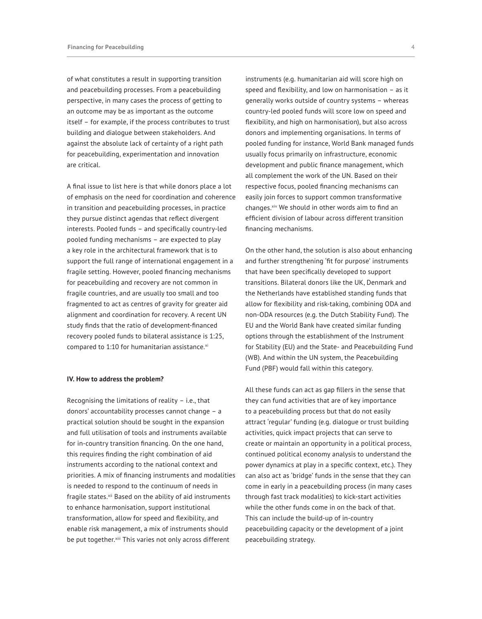of what constitutes a result in supporting transition and peacebuilding processes. From a peacebuilding perspective, in many cases the process of getting to an outcome may be as important as the outcome itself – for example, if the process contributes to trust building and dialogue between stakeholders. And against the absolute lack of certainty of a right path for peacebuilding, experimentation and innovation are critical.

A final issue to list here is that while donors place a lot of emphasis on the need for coordination and coherence in transition and peacebuilding processes, in practice they pursue distinct agendas that reflect divergent interests. Pooled funds – and specifically country-led pooled funding mechanisms – are expected to play a key role in the architectural framework that is to support the full range of international engagement in a fragile setting. However, pooled financing mechanisms for peacebuilding and recovery are not common in fragile countries, and are usually too small and too fragmented to act as centres of gravity for greater aid alignment and coordination for recovery. A recent UN study finds that the ratio of development-financed recovery pooled funds to bilateral assistance is 1:25, compared to  $1:10$  for humanitarian assistance. $x_i$ 

#### **IV. How to address the problem?**

Recognising the limitations of reality – i.e., that donors' accountability processes cannot change – a practical solution should be sought in the expansion and full utilisation of tools and instruments available for in-country transition financing. On the one hand, this requires finding the right combination of aid instruments according to the national context and priorities. A mix of financing instruments and modalities is needed to respond to the continuum of needs in fragile states.<sup>xii</sup> Based on the ability of aid instruments to enhance harmonisation, support institutional transformation, allow for speed and flexibility, and enable risk management, a mix of instruments should be put together.<sup>xiii</sup> This varies not only across different

instruments (e.g. humanitarian aid will score high on speed and flexibility, and low on harmonisation – as it generally works outside of country systems – whereas country-led pooled funds will score low on speed and flexibility, and high on harmonisation), but also across donors and implementing organisations. In terms of pooled funding for instance, World Bank managed funds usually focus primarily on infrastructure, economic development and public finance management, which all complement the work of the UN. Based on their respective focus, pooled financing mechanisms can easily join forces to support common transformative changes.<sup>xiv</sup> We should in other words aim to find an efficient division of labour across different transition financing mechanisms.

On the other hand, the solution is also about enhancing and further strengthening 'fit for purpose' instruments that have been specifically developed to support transitions. Bilateral donors like the UK, Denmark and the Netherlands have established standing funds that allow for flexibility and risk-taking, combining ODA and non-ODA resources (e.g. the Dutch Stability Fund). The EU and the World Bank have created similar funding options through the establishment of the Instrument for Stability (EU) and the State- and Peacebuilding Fund (WB). And within the UN system, the Peacebuilding Fund (PBF) would fall within this category.

All these funds can act as gap fillers in the sense that they can fund activities that are of key importance to a peacebuilding process but that do not easily attract 'regular' funding (e.g. dialogue or trust building activities, quick impact projects that can serve to create or maintain an opportunity in a political process, continued political economy analysis to understand the power dynamics at play in a specific context, etc.). They can also act as 'bridge' funds in the sense that they can come in early in a peacebuilding process (in many cases through fast track modalities) to kick-start activities while the other funds come in on the back of that. This can include the build-up of in-country peacebuilding capacity or the development of a joint peacebuilding strategy.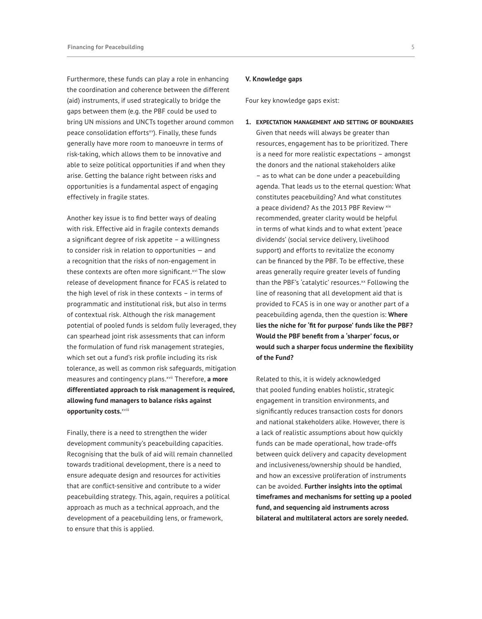Furthermore, these funds can play a role in enhancing the coordination and coherence between the different (aid) instruments, if used strategically to bridge the gaps between them (e.g. the PBF could be used to bring UN missions and UNCTs together around common peace consolidation efforts<sup>xv</sup>). Finally, these funds generally have more room to manoeuvre in terms of risk-taking, which allows them to be innovative and able to seize political opportunities if and when they arise. Getting the balance right between risks and opportunities is a fundamental aspect of engaging effectively in fragile states.

Another key issue is to find better ways of dealing with risk. Effective aid in fragile contexts demands a significant degree of risk appetite – a willingness to consider risk in relation to opportunities — and a recognition that the risks of non-engagement in these contexts are often more significant.<sup>xvi</sup> The slow release of development finance for FCAS is related to the high level of risk in these contexts – in terms of programmatic and institutional risk, but also in terms of contextual risk. Although the risk management potential of pooled funds is seldom fully leveraged, they can spearhead joint risk assessments that can inform the formulation of fund risk management strategies, which set out a fund's risk profile including its risk tolerance, as well as common risk safeguards, mitigation measures and contingency plans.xvii Therefore, **a more differentiated approach to risk management is required, allowing fund managers to balance risks against opportunity costs.**xviii

Finally, there is a need to strengthen the wider development community's peacebuilding capacities. Recognising that the bulk of aid will remain channelled towards traditional development, there is a need to ensure adequate design and resources for activities that are conflict-sensitive and contribute to a wider peacebuilding strategy. This, again, requires a political approach as much as a technical approach, and the development of a peacebuilding lens, or framework, to ensure that this is applied.

#### **V. Knowledge gaps**

Four key knowledge gaps exist:

**1. expectation management and setting of boundaries** Given that needs will always be greater than resources, engagement has to be prioritized. There is a need for more realistic expectations – amongst the donors and the national stakeholders alike – as to what can be done under a peacebuilding agenda. That leads us to the eternal question: What constitutes peacebuilding? And what constitutes a peace dividend? As the 2013 PBF Review xix recommended, greater clarity would be helpful in terms of what kinds and to what extent 'peace dividends' (social service delivery, livelihood support) and efforts to revitalize the economy can be financed by the PBF. To be effective, these areas generally require greater levels of funding than the PBF's 'catalytic' resources.<sup>xx</sup> Following the line of reasoning that all development aid that is provided to FCAS is in one way or another part of a peacebuilding agenda, then the question is: **Where lies the niche for 'fit for purpose' funds like the PBF? Would the PBF benefit from a 'sharper' focus, or would such a sharper focus undermine the flexibility of the Fund?** 

Related to this, it is widely acknowledged that pooled funding enables holistic, strategic engagement in transition environments, and significantly reduces transaction costs for donors and national stakeholders alike. However, there is a lack of realistic assumptions about how quickly funds can be made operational, how trade-offs between quick delivery and capacity development and inclusiveness/ownership should be handled, and how an excessive proliferation of instruments can be avoided. **Further insights into the optimal timeframes and mechanisms for setting up a pooled fund, and sequencing aid instruments across bilateral and multilateral actors are sorely needed.**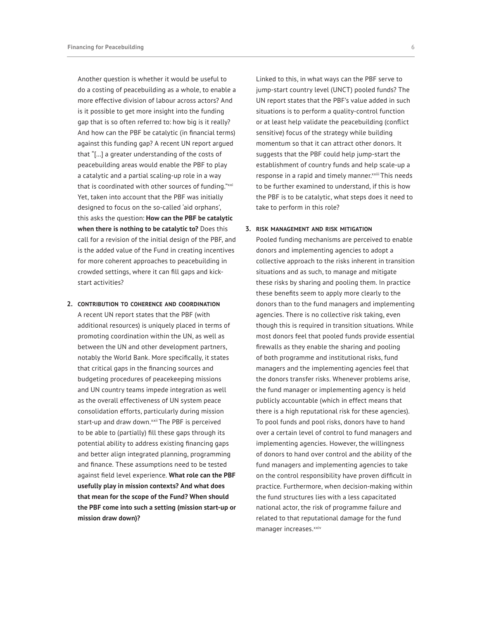Another question is whether it would be useful to do a costing of peacebuilding as a whole, to enable a more effective division of labour across actors? And is it possible to get more insight into the funding gap that is so often referred to: how big is it really? And how can the PBF be catalytic (in financial terms) against this funding gap? A recent UN report argued that "[…] a greater understanding of the costs of peacebuilding areas would enable the PBF to play a catalytic and a partial scaling-up role in a way that is coordinated with other sources of funding."xxi Yet, taken into account that the PBF was initially designed to focus on the so-called 'aid orphans', this asks the question: **How can the PBF be catalytic when there is nothing to be catalytic to?** Does this call for a revision of the initial design of the PBF, and is the added value of the Fund in creating incentives for more coherent approaches to peacebuilding in crowded settings, where it can fill gaps and kickstart activities?

**2. contribution to coherence and coordination** A recent UN report states that the PBF (with additional resources) is uniquely placed in terms of promoting coordination within the UN, as well as between the UN and other development partners, notably the World Bank. More specifically, it states that critical gaps in the financing sources and budgeting procedures of peacekeeping missions and UN country teams impede integration as well as the overall effectiveness of UN system peace consolidation efforts, particularly during mission start-up and draw down. xxii The PBF is perceived to be able to (partially) fill these gaps through its potential ability to address existing financing gaps and better align integrated planning, programming and finance. These assumptions need to be tested against field level experience. **What role can the PBF usefully play in mission contexts? And what does that mean for the scope of the Fund? When should the PBF come into such a setting (mission start-up or mission draw down)?**

Linked to this, in what ways can the PBF serve to jump-start country level (UNCT) pooled funds? The UN report states that the PBF's value added in such situations is to perform a quality-control function or at least help validate the peacebuilding (conflict sensitive) focus of the strategy while building momentum so that it can attract other donors. It suggests that the PBF could help jump-start the establishment of country funds and help scale-up a response in a rapid and timely manner.<sup>xxiii</sup> This needs to be further examined to understand, if this is how the PBF is to be catalytic, what steps does it need to take to perform in this role?

## **3. risk management and risk mitigation**

Pooled funding mechanisms are perceived to enable donors and implementing agencies to adopt a collective approach to the risks inherent in transition situations and as such, to manage and mitigate these risks by sharing and pooling them. In practice these benefits seem to apply more clearly to the donors than to the fund managers and implementing agencies. There is no collective risk taking, even though this is required in transition situations. While most donors feel that pooled funds provide essential firewalls as they enable the sharing and pooling of both programme and institutional risks, fund managers and the implementing agencies feel that the donors transfer risks. Whenever problems arise, the fund manager or implementing agency is held publicly accountable (which in effect means that there is a high reputational risk for these agencies). To pool funds and pool risks, donors have to hand over a certain level of control to fund managers and implementing agencies. However, the willingness of donors to hand over control and the ability of the fund managers and implementing agencies to take on the control responsibility have proven difficult in practice. Furthermore, when decision-making within the fund structures lies with a less capacitated national actor, the risk of programme failure and related to that reputational damage for the fund manager increases.xxiv